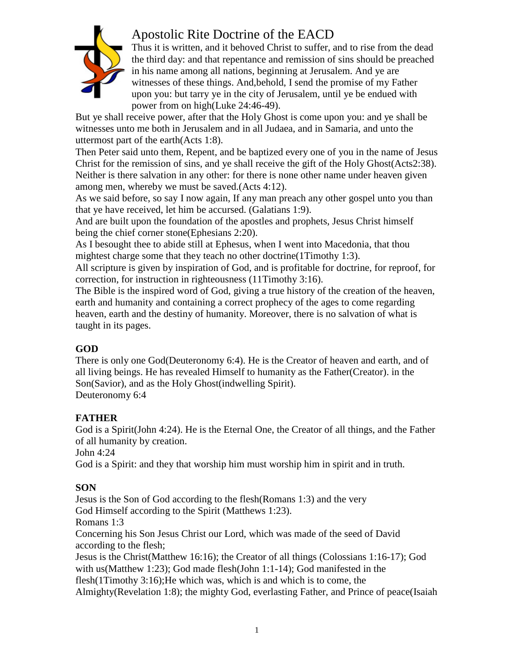

# Apostolic Rite Doctrine of the EACD

Thus it is written, and it behoved Christ to suffer, and to rise from the dead the third day: and that repentance and remission of sins should be preached in his name among all nations, beginning at Jerusalem. And ye are witnesses of these things. And,behold, I send the promise of my Father upon you: but tarry ye in the city of Jerusalem, until ye be endued with power from on high(Luke 24:46-49).

But ye shall receive power, after that the Holy Ghost is come upon you: and ye shall be witnesses unto me both in Jerusalem and in all Judaea, and in Samaria, and unto the uttermost part of the earth(Acts 1:8).

Then Peter said unto them, Repent, and be baptized every one of you in the name of Jesus Christ for the remission of sins, and ye shall receive the gift of the Holy Ghost(Acts2:38). Neither is there salvation in any other: for there is none other name under heaven given among men, whereby we must be saved.(Acts 4:12).

As we said before, so say I now again, If any man preach any other gospel unto you than that ye have received, let him be accursed. (Galatians 1:9).

And are built upon the foundation of the apostles and prophets, Jesus Christ himself being the chief corner stone(Ephesians 2:20).

As I besought thee to abide still at Ephesus, when I went into Macedonia, that thou mightest charge some that they teach no other doctrine(1Timothy 1:3).

All scripture is given by inspiration of God, and is profitable for doctrine, for reproof, for correction, for instruction in righteousness (11Timothy 3:16).

The Bible is the inspired word of God, giving a true history of the creation of the heaven, earth and humanity and containing a correct prophecy of the ages to come regarding heaven, earth and the destiny of humanity. Moreover, there is no salvation of what is taught in its pages.

#### **GOD**

There is only one God(Deuteronomy 6:4). He is the Creator of heaven and earth, and of all living beings. He has revealed Himself to humanity as the Father(Creator). in the Son(Savior), and as the Holy Ghost(indwelling Spirit). Deuteronomy 6:4

## **FATHER**

God is a Spirit(John 4:24). He is the Eternal One, the Creator of all things, and the Father of all humanity by creation.

John 4:24

God is a Spirit: and they that worship him must worship him in spirit and in truth.

## **SON**

Jesus is the Son of God according to the flesh(Romans 1:3) and the very God Himself according to the Spirit (Matthews 1:23). Romans 1:3 Concerning his Son Jesus Christ our Lord, which was made of the seed of David according to the flesh; Jesus is the Christ(Matthew 16:16); the Creator of all things (Colossians 1:16-17); God with us(Matthew 1:23); God made flesh(John 1:1-14); God manifested in the flesh(1Timothy 3:16);He which was, which is and which is to come, the Almighty(Revelation 1:8); the mighty God, everlasting Father, and Prince of peace(Isaiah